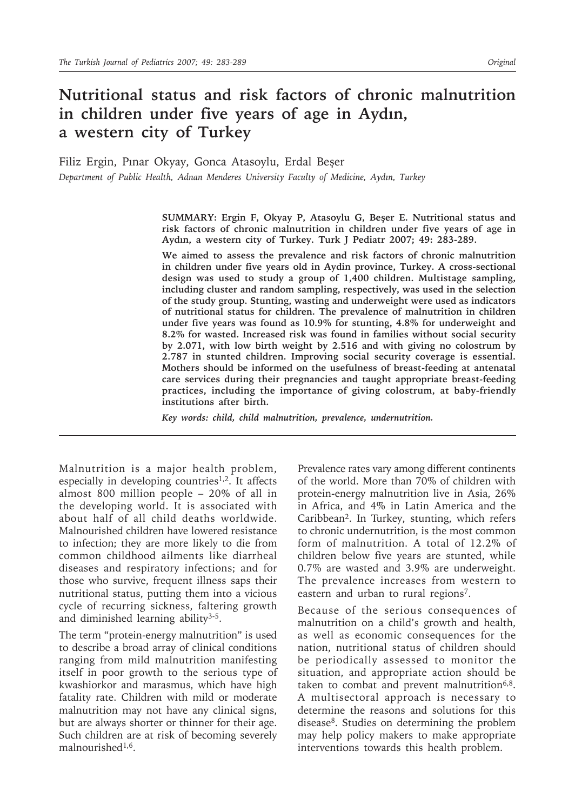# **Nutritional status and risk factors of chronic malnutrition in children under five years of age in Aydın, a western city of Turkey**

Filiz Ergin, Pınar Okyay, Gonca Atasoylu, Erdal Beşer *Department of Public Health, Adnan Menderes University Faculty of Medicine, Aydın, Turkey*

> **SUMMARY: Ergin F, Okyay P, Atasoylu G, Beşer E. Nutritional status and risk factors of chronic malnutrition in children under five years of age in Aydın, a western city of Turkey. Turk J Pediatr 2007; 49: 283-289.**

> **We aimed to assess the prevalence and risk factors of chronic malnutrition in children under five years old in Aydin province, Turkey. A cross-sectional design was used to study a group of 1,400 children. Multistage sampling, including cluster and random sampling, respectively, was used in the selection of the study group. Stunting, wasting and underweight were used as indicators of nutritional status for children. The prevalence of malnutrition in children under five years was found as 10.9% for stunting, 4.8% for underweight and 8.2% for wasted. Increased risk was found in families without social security by 2.071, with low birth weight by 2.516 and with giving no colostrum by 2.787 in stunted children. Improving social security coverage is essential. Mothers should be informed on the usefulness of breast-feeding at antenatal care services during their pregnancies and taught appropriate breast-feeding practices, including the importance of giving colostrum, at baby-friendly institutions after birth.**

*Key words: child, child malnutrition, prevalence, undernutrition.*

Malnutrition is a major health problem, especially in developing countries<sup>1,2</sup>. It affects almost 800 million people – 20% of all in the developing world. It is associated with about half of all child deaths worldwide. Malnourished children have lowered resistance to infection; they are more likely to die from common childhood ailments like diarrheal diseases and respiratory infections; and for those who survive, frequent illness saps their nutritional status, putting them into a vicious cycle of recurring sickness, faltering growth and diminished learning ability<sup>3-5</sup>.

The term "protein-energy malnutrition" is used to describe a broad array of clinical conditions ranging from mild malnutrition manifesting itself in poor growth to the serious type of kwashiorkor and marasmus, which have high fatality rate. Children with mild or moderate malnutrition may not have any clinical signs, but are always shorter or thinner for their age. Such children are at risk of becoming severely malnourished1,6.

Prevalence rates vary among different continents of the world. More than 70% of children with protein-energy malnutrition live in Asia, 26% in Africa, and 4% in Latin America and the Caribbean2. In Turkey, stunting, which refers to chronic undernutrition, is the most common form of malnutrition. A total of 12.2% of children below five years are stunted, while 0.7% are wasted and 3.9% are underweight. The prevalence increases from western to eastern and urban to rural regions<sup>7</sup>.

Because of the serious consequences of malnutrition on a child's growth and health, as well as economic consequences for the nation, nutritional status of children should be periodically assessed to monitor the situation, and appropriate action should be taken to combat and prevent malnutrition $6,8$ . A multisectoral approach is necessary to determine the reasons and solutions for this disease8. Studies on determining the problem may help policy makers to make appropriate interventions towards this health problem.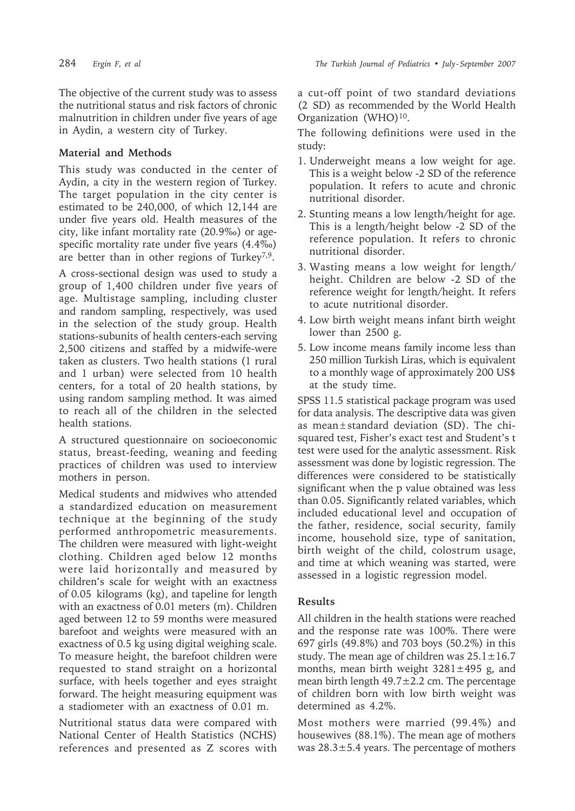The objective of the current study was to assess the nutritional status and risk factors of chronic malnutrition in children under five years of age in Aydin, a western city of Turkey.

### **Material and Methods**

This study was conducted in the center of Aydin, a city in the western region of Turkey. The target population in the city center is estimated to be 240,000, of which 12,144 are under five years old. Health measures of the city, like infant mortality rate (20.9‰) or agespecific mortality rate under five years  $(4.4\%)$ are better than in other regions of Turkey7,9.

A cross-sectional design was used to study a group of 1,400 children under five years of age. Multistage sampling, including cluster and random sampling, respectively, was used in the selection of the study group. Health stations-subunits of health centers-each serving 2,500 citizens and staffed by a midwife-were taken as clusters. Two health stations (1 rural and 1 urban) were selected from 10 health centers, for a total of 20 health stations, by using random sampling method. It was aimed to reach all of the children in the selected health stations.

A structured questionnaire on socioeconomic status, breast-feeding, weaning and feeding practices of children was used to interview mothers in person.

Medical students and midwives who attended a standardized education on measurement technique at the beginning of the study performed anthropometric measurements. The children were measured with light-weight clothing. Children aged below 12 months were laid horizontally and measured by children's scale for weight with an exactness of 0.05 kilograms (kg), and tapeline for length with an exactness of 0.01 meters (m). Children aged between 12 to 59 months were measured barefoot and weights were measured with an exactness of 0.5 kg using digital weighing scale. To measure height, the barefoot children were requested to stand straight on a horizontal surface, with heels together and eyes straight forward. The height measuring equipment was a stadiometer with an exactness of 0.01 m.

Nutritional status data were compared with National Center of Health Statistics (NCHS) references and presented as Z scores with a cut-off point of two standard deviations (2 SD) as recommended by the World Health Organization (WHO)<sup>10</sup>.

The following definitions were used in the study:

- 1. Underweight means a low weight for age. This is a weight below -2 SD of the reference population. It refers to acute and chronic nutritional disorder.
- 2. Stunting means a low length/height for age. This is a length/height below -2 SD of the reference population. It refers to chronic nutritional disorder.
- 3. Wasting means a low weight for length/ height. Children are below -2 SD of the reference weight for length/height. It refers to acute nutritional disorder.
- 4. Low birth weight means infant birth weight lower than 2500 g.
- 5. Low income means family income less than 250 million Turkish Liras, which is equivalent to a monthly wage of approximately 200 US\$ at the study time.

SPSS 11.5 statistical package program was used for data analysis. The descriptive data was given as mean ± standard deviation (SD). The chisquared test, Fisher's exact test and Student's t test were used for the analytic assessment. Risk assessment was done by logistic regression. The differences were considered to be statistically significant when the p value obtained was less than 0.05. Significantly related variables, which included educational level and occupation of the father, residence, social security, family income, household size, type of sanitation, birth weight of the child, colostrum usage, and time at which weaning was started, were assessed in a logistic regression model.

## **Results**

All children in the health stations were reached and the response rate was 100%. There were 697 girls (49.8%) and 703 boys (50.2%) in this study. The mean age of children was  $25.1 \pm 16.7$ months, mean birth weight  $3281 \pm 495$  g, and mean birth length  $49.7 \pm 2.2$  cm. The percentage of children born with low birth weight was determined as 4.2%.

Most mothers were married (99.4%) and housewives (88.1%). The mean age of mothers was  $28.3 \pm 5.4$  years. The percentage of mothers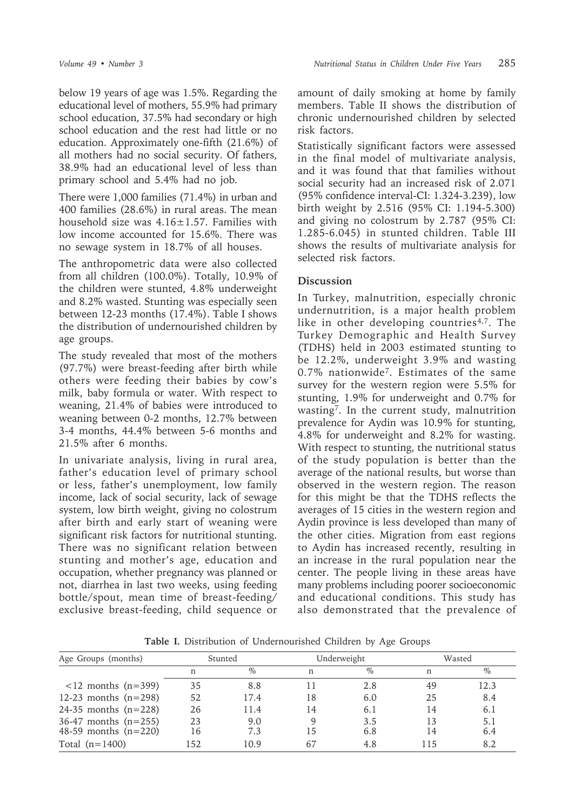below 19 years of age was 1.5%. Regarding the educational level of mothers, 55.9% had primary school education, 37.5% had secondary or high school education and the rest had little or no education. Approximately one-fifth (21.6%) of all mothers had no social security. Of fathers, 38.9% had an educational level of less than primary school and 5.4% had no job.

There were 1,000 families (71.4%) in urban and 400 families (28.6%) in rural areas. The mean household size was  $4.16 \pm 1.57$ . Families with low income accounted for 15.6%. There was no sewage system in 18.7% of all houses.

The anthropometric data were also collected from all children (100.0%). Totally, 10.9% of the children were stunted, 4.8% underweight and 8.2% wasted. Stunting was especially seen between 12-23 months (17.4%). Table I shows the distribution of undernourished children by age groups.

The study revealed that most of the mothers (97.7%) were breast-feeding after birth while others were feeding their babies by cow's milk, baby formula or water. With respect to weaning, 21.4% of babies were introduced to weaning between 0-2 months, 12.7% between 3-4 months, 44.4% between 5-6 months and 21.5% after 6 months.

In univariate analysis, living in rural area, father's education level of primary school or less, father's unemployment, low family income, lack of social security, lack of sewage system, low birth weight, giving no colostrum after birth and early start of weaning were significant risk factors for nutritional stunting. There was no significant relation between stunting and mother's age, education and occupation, whether pregnancy was planned or not, diarrhea in last two weeks, using feeding bottle/spout, mean time of breast-feeding/ exclusive breast-feeding, child sequence or amount of daily smoking at home by family members. Table II shows the distribution of chronic undernourished children by selected risk factors.

Statistically significant factors were assessed in the final model of multivariate analysis, and it was found that that families without social security had an increased risk of 2.071 (95% confidence interval-CI: 1.324-3.239), low birth weight by 2.516 (95% CI: 1.194-5.300) and giving no colostrum by 2.787 (95% CI: 1.285-6.045) in stunted children. Table III shows the results of multivariate analysis for selected risk factors.

#### **Discussion**

In Turkey, malnutrition, especially chronic undernutrition, is a major health problem like in other developing countries<sup>4,7</sup>. The Turkey Demographic and Health Survey (TDHS) held in 2003 estimated stunting to be 12.2%, underweight 3.9% and wasting 0.7% nationwide7. Estimates of the same survey for the western region were 5.5% for stunting, 1.9% for underweight and 0.7% for wasting7. In the current study, malnutrition prevalence for Aydin was 10.9% for stunting, 4.8% for underweight and 8.2% for wasting. With respect to stunting, the nutritional status of the study population is better than the average of the national results, but worse than observed in the western region. The reason for this might be that the TDHS reflects the averages of 15 cities in the western region and Aydin province is less developed than many of the other cities. Migration from east regions to Aydin has increased recently, resulting in an increase in the rural population near the center. The people living in these areas have many problems including poorer socioeconomic and educational conditions. This study has also demonstrated that the prevalence of

**Table I.** Distribution of Undernourished Children by Age Groups

| Age Groups (months)                         | Stunted |      | Underweight |      | Wasted |      |
|---------------------------------------------|---------|------|-------------|------|--------|------|
|                                             | n       | $\%$ | n           | $\%$ | n      | $\%$ |
| $\langle 12 \text{ months} \rangle$ (n=399) | 35      | 8.8  |             | 2.8  | 49     | 12.3 |
| 12-23 months $(n=298)$                      | 52      | 17.4 | 18          | 6.0  | 25     | 8.4  |
| 24-35 months $(n=228)$                      | 26      | 11.4 | 14          | 6.1  | 14     | 6.1  |
| $36-47$ months $(n=255)$                    | 23      | 9.0  | q           | 3.5  | 13     | 5.1  |
| 48-59 months $(n=220)$                      | 16      | 7.3  | 15          | 6.8  | 14     | 6.4  |
| Total $(n=1400)$                            | 152     | 10.9 | 67          | 4.8  | 115    | 8.2  |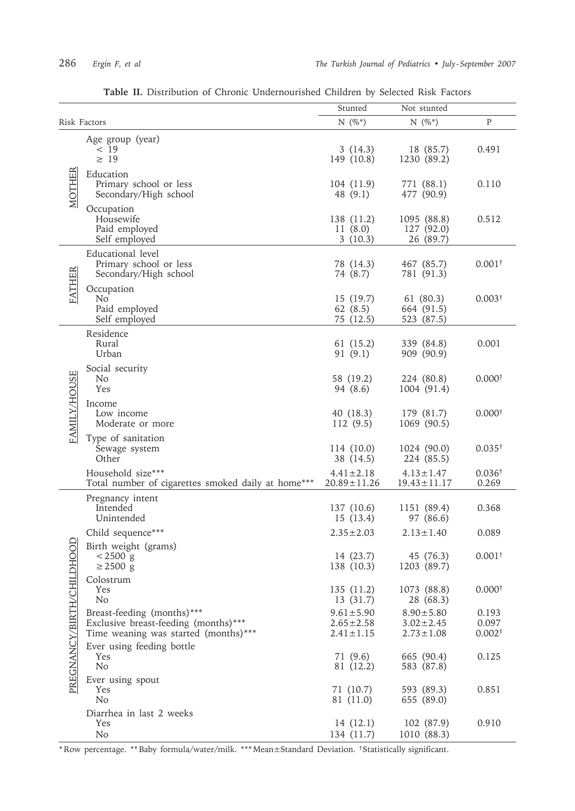| <b>Table II.</b> Distribution of Chronic Undernourished Children by Selected Risk Factors |  |  |  |  |
|-------------------------------------------------------------------------------------------|--|--|--|--|
|-------------------------------------------------------------------------------------------|--|--|--|--|

|                           |                                                                                                            | Stunted                                               | Not stunted                                           |                                     |
|---------------------------|------------------------------------------------------------------------------------------------------------|-------------------------------------------------------|-------------------------------------------------------|-------------------------------------|
| Risk Factors              |                                                                                                            | $N(%^*)$                                              | $N$ $(\%^*)$                                          | P                                   |
|                           | Age group (year)<br>< 19<br>$\geq 19$                                                                      | 3(14.3)<br>149 (10.8)                                 | 18 (85.7)<br>1230 (89.2)                              | 0.491                               |
| MOTHER                    | Education<br>Primary school or less<br>Secondary/High school                                               | 104 (11.9)<br>48 (9.1)                                | 771 (88.1)<br>477 (90.9)                              | 0.110                               |
|                           | Occupation<br>Housewife<br>Paid employed<br>Self employed                                                  | 138 (11.2)<br>11(8.0)<br>3(10.3)                      | 1095 (88.8)<br>127 (92.0)<br>26 (89.7)                | 0.512                               |
| FATHER                    | Educational level<br>Primary school or less<br>Secondary/High school                                       | 78 (14.3)<br>74 (8.7)                                 | 467 (85.7)<br>781 (91.3)                              | $0.001^{\dagger}$                   |
|                           | Occupation<br>No<br>Paid employed<br>Self employed                                                         | 15 (19.7)<br>62 (8.5)<br>75 (12.5)                    | 61 (80.3)<br>664 (91.5)<br>523 (87.5)                 | $0.003^{\dagger}$                   |
| FAMILY/HOUSE              | Residence<br>Rural<br>Urban                                                                                | 61 (15.2)<br>91(9.1)                                  | 339 (84.8)<br>909 (90.9)                              | 0.001                               |
|                           | Social security<br>No<br>Yes                                                                               | 58 (19.2)<br>94 (8.6)                                 | 224 (80.8)<br>1004 (91.4)                             | $0.000^{\dagger}$                   |
|                           | Income<br>Low income<br>Moderate or more                                                                   | 40 (18.3)<br>112 (9.5)                                | 179 (81.7)<br>1069 (90.5)                             | $0.000^{\dagger}$                   |
|                           | Type of sanitation<br>Sewage system<br>Other                                                               | 114 (10.0)<br>38 (14.5)                               | 1024 (90.0)<br>224 (85.5)                             | $0.035^{\dagger}$                   |
|                           | Household size***<br>Total number of cigarettes smoked daily at home***                                    | $4.41 \pm 2.18$<br>$20.89 \pm 11.26$                  | $4.13 \pm 1.47$<br>$19.43 \pm 11.17$                  | $0.036^{\dagger}$<br>0.269          |
|                           | Pregnancy intent<br>Intended<br>Unintended                                                                 | 137 (10.6)<br>15 (13.4)                               | 1151 (89.4)<br>97 (86.6)                              | 0.368                               |
|                           | Child sequence***                                                                                          | $2.35 \pm 2.03$                                       | $2.13 \pm 1.40$                                       | 0.089                               |
| PREGNANCY/BIRTH/CHILDHOOD | Birth weight (grams)<br>$< 2500$ g<br>$\geq$ 2500 g                                                        | 14 (23.7)<br>138 (10.3)                               | 45 (76.3)<br>1203 (89.7)                              | $0.001$ <sup>†</sup>                |
|                           | Colostrum<br>Yes<br>N <sub>o</sub>                                                                         | 135 (11.2)<br>13 (31.7)                               | 1073 (88.8)<br>28 (68.3)                              | $0.000^{\dagger}$                   |
|                           | Breast-feeding (months)***<br>Exclusive breast-feeding (months)***<br>Time weaning was started (months)*** | $9.61 \pm 5.90$<br>$2.65 \pm 2.58$<br>$2.41 \pm 1.15$ | $8.90 \pm 5.80$<br>$3.02 \pm 2.45$<br>$2.73 \pm 1.08$ | 0.193<br>0.097<br>$0.002^{\dagger}$ |
|                           | Ever using feeding bottle<br>Yes<br>No                                                                     | 71 (9.6)<br>81 (12.2)                                 | 665 (90.4)<br>583 (87.8)                              | 0.125                               |
|                           | Ever using spout<br>Yes<br>No                                                                              | 71 (10.7)<br>81 (11.0)                                | 593 (89.3)<br>655 (89.0)                              | 0.851                               |
|                           | Diarrhea in last 2 weeks<br>Yes<br>No                                                                      | 14 (12.1)<br>134 (11.7)                               | 102 (87.9)<br>1010 (88.3)                             | 0.910                               |

\* Row percentage. \*\* Baby formula/water/milk. \*\*\* Mean±Standard Deviation. †Statistically significant.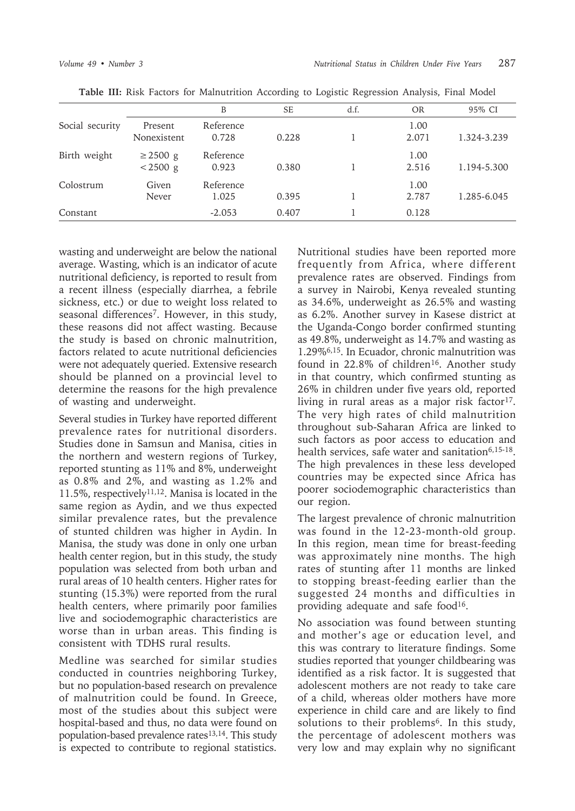|                 |                             | B                  | SE    | d.f. | <b>OR</b>     | 95% CI      |
|-----------------|-----------------------------|--------------------|-------|------|---------------|-------------|
| Social security | Present<br>Nonexistent      | Reference<br>0.728 | 0.228 |      | 1.00<br>2.071 | 1.324-3.239 |
| Birth weight    | $\geq$ 2500 g<br>$< 2500$ g | Reference<br>0.923 | 0.380 |      | 1.00<br>2.516 | 1.194-5.300 |
| Colostrum       | Given<br>Never              | Reference<br>1.025 | 0.395 |      | 1.00<br>2.787 | 1.285-6.045 |
| Constant        |                             | $-2.053$           | 0.407 |      | 0.128         |             |

**Table III:** Risk Factors for Malnutrition According to Logistic Regression Analysis, Final Model

wasting and underweight are below the national average. Wasting, which is an indicator of acute nutritional deficiency, is reported to result from a recent illness (especially diarrhea, a febrile sickness, etc.) or due to weight loss related to seasonal differences7. However, in this study, these reasons did not affect wasting. Because the study is based on chronic malnutrition, factors related to acute nutritional deficiencies were not adequately queried. Extensive research should be planned on a provincial level to determine the reasons for the high prevalence of wasting and underweight.

Several studies in Turkey have reported different prevalence rates for nutritional disorders. Studies done in Samsun and Manisa, cities in the northern and western regions of Turkey, reported stunting as 11% and 8%, underweight as 0.8% and 2%, and wasting as 1.2% and 11.5%, respectively11,12. Manisa is located in the same region as Aydin, and we thus expected similar prevalence rates, but the prevalence of stunted children was higher in Aydin. In Manisa, the study was done in only one urban health center region, but in this study, the study population was selected from both urban and rural areas of 10 health centers. Higher rates for stunting (15.3%) were reported from the rural health centers, where primarily poor families live and sociodemographic characteristics are worse than in urban areas. This finding is consistent with TDHS rural results.

Medline was searched for similar studies conducted in countries neighboring Turkey, but no population-based research on prevalence of malnutrition could be found. In Greece, most of the studies about this subject were hospital-based and thus, no data were found on population-based prevalence rates<sup>13,14</sup>. This study is expected to contribute to regional statistics.

Nutritional studies have been reported more frequently from Africa, where different prevalence rates are observed. Findings from a survey in Nairobi, Kenya revealed stunting as 34.6%, underweight as 26.5% and wasting as 6.2%. Another survey in Kasese district at the Uganda-Congo border confirmed stunting as 49.8%, underweight as 14.7% and wasting as 1.29%6,15. In Ecuador, chronic malnutrition was found in  $22.8\%$  of children<sup>16</sup>. Another study in that country, which confirmed stunting as 26% in children under five years old, reported living in rural areas as a major risk factor $17$ . The very high rates of child malnutrition throughout sub-Saharan Africa are linked to such factors as poor access to education and health services, safe water and sanitation<sup>6,15-18</sup>. The high prevalences in these less developed countries may be expected since Africa has poorer sociodemographic characteristics than our region.

The largest prevalence of chronic malnutrition was found in the 12-23-month-old group. In this region, mean time for breast-feeding was approximately nine months. The high rates of stunting after 11 months are linked to stopping breast-feeding earlier than the suggested 24 months and difficulties in providing adequate and safe food $16$ .

No association was found between stunting and mother's age or education level, and this was contrary to literature findings. Some studies reported that younger childbearing was identified as a risk factor. It is suggested that adolescent mothers are not ready to take care of a child, whereas older mothers have more experience in child care and are likely to find solutions to their problems<sup>6</sup>. In this study, the percentage of adolescent mothers was very low and may explain why no significant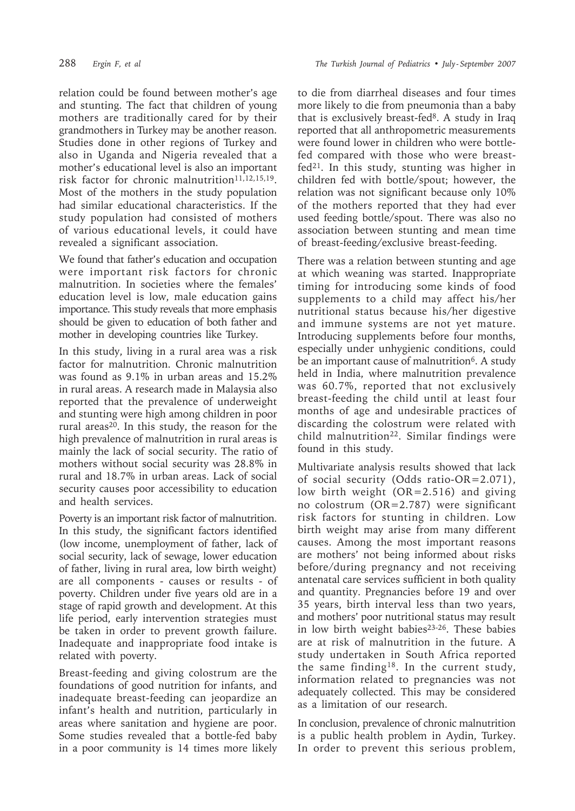relation could be found between mother's age and stunting. The fact that children of young mothers are traditionally cared for by their grandmothers in Turkey may be another reason. Studies done in other regions of Turkey and also in Uganda and Nigeria revealed that a mother's educational level is also an important risk factor for chronic malnutrition<sup>11,12,15,19</sup>. Most of the mothers in the study population had similar educational characteristics. If the study population had consisted of mothers of various educational levels, it could have revealed a significant association.

We found that father's education and occupation were important risk factors for chronic malnutrition. In societies where the females' education level is low, male education gains importance. This study reveals that more emphasis should be given to education of both father and mother in developing countries like Turkey.

In this study, living in a rural area was a risk factor for malnutrition. Chronic malnutrition was found as 9.1% in urban areas and 15.2% in rural areas. A research made in Malaysia also reported that the prevalence of underweight and stunting were high among children in poor rural areas<sup>20</sup>. In this study, the reason for the high prevalence of malnutrition in rural areas is mainly the lack of social security. The ratio of mothers without social security was 28.8% in rural and 18.7% in urban areas. Lack of social security causes poor accessibility to education and health services.

Poverty is an important risk factor of malnutrition. In this study, the significant factors identified (low income, unemployment of father, lack of social security, lack of sewage, lower education of father, living in rural area, low birth weight) are all components - causes or results - of poverty. Children under five years old are in a stage of rapid growth and development. At this life period, early intervention strategies must be taken in order to prevent growth failure. Inadequate and inappropriate food intake is related with poverty.

Breast-feeding and giving colostrum are the foundations of good nutrition for infants, and inadequate breast-feeding can jeopardize an infant's health and nutrition, particularly in areas where sanitation and hygiene are poor. Some studies revealed that a bottle-fed baby in a poor community is 14 times more likely to die from diarrheal diseases and four times more likely to die from pneumonia than a baby that is exclusively breast-fed8. A study in Iraq reported that all anthropometric measurements were found lower in children who were bottlefed compared with those who were breastfed21. In this study, stunting was higher in children fed with bottle/spout; however, the relation was not significant because only 10% of the mothers reported that they had ever used feeding bottle/spout. There was also no association between stunting and mean time of breast-feeding/exclusive breast-feeding.

There was a relation between stunting and age at which weaning was started. Inappropriate timing for introducing some kinds of food supplements to a child may affect his/her nutritional status because his/her digestive and immune systems are not yet mature. Introducing supplements before four months, especially under unhygienic conditions, could be an important cause of malnutrition<sup>6</sup>. A study held in India, where malnutrition prevalence was 60.7%, reported that not exclusively breast-feeding the child until at least four months of age and undesirable practices of discarding the colostrum were related with child malnutrition<sup>22</sup>. Similar findings were found in this study.

Multivariate analysis results showed that lack of social security (Odds ratio-OR=2.071), low birth weight (OR=2.516) and giving no colostrum (OR=2.787) were significant risk factors for stunting in children. Low birth weight may arise from many different causes. Among the most important reasons are mothers' not being informed about risks before/during pregnancy and not receiving antenatal care services sufficient in both quality and quantity. Pregnancies before 19 and over 35 years, birth interval less than two years, and mothers' poor nutritional status may result in low birth weight babies<sup>23-26</sup>. These babies are at risk of malnutrition in the future. A study undertaken in South Africa reported the same finding18. In the current study, information related to pregnancies was not adequately collected. This may be considered as a limitation of our research.

In conclusion, prevalence of chronic malnutrition is a public health problem in Aydin, Turkey. In order to prevent this serious problem,